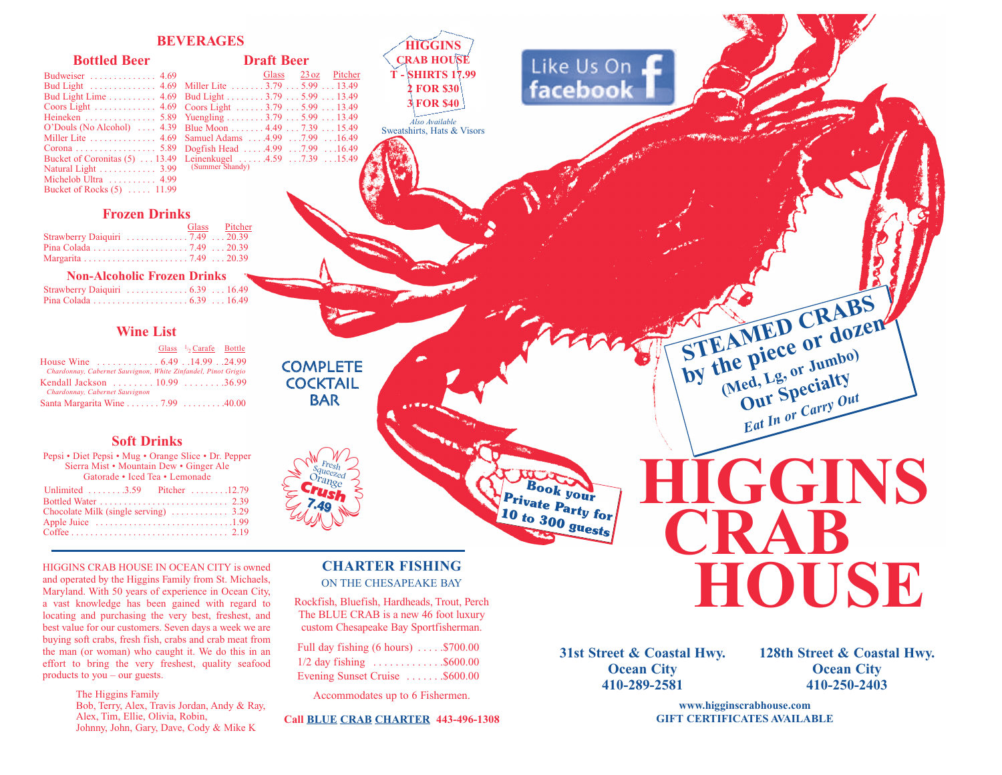# **BEVERAGES**

## **Bottled Beer**

| Budweiser  4.69                            |  |
|--------------------------------------------|--|
| Bud Light  4.69                            |  |
| Bud Light Lime 4.69                        |  |
| Coors Light  4.69                          |  |
| Heineken  5.89                             |  |
| O'Douls (No Alcohol)  4.39                 |  |
| Miller Lite $\dots \dots \dots \dots$ 4.69 |  |
| Corona 5.89                                |  |
| Bucket of Coronitas (5)  13.49             |  |
| Natural Light  3.99                        |  |
| Michelob Ultra  4.99                       |  |
| Bucket of Rocks (5)  11.99                 |  |
|                                            |  |

**Draft Beer** Glass 23oz Pitcher Miller Lite . . . . . . . 3.79 . . . 5.99 . . . 13.49 Bud Light . . . . . . . . 3.79 . . . 5.99 . . . 13.49 Coors Light . . . . . . 3.79 . . . 5.99 . . . 13.49 Yuengling . . . . . . . . 3.79 . . . 5.99 . . . 13.49 Blue Moon . . . . . . . 4.49 . . . 7.39 . . . 15.49 Samuel Adams . . . .4.99 . . .7.99 . . .16.49 Dogfish Head . . . . .4.99 . . .7.99 . . .16.49 Leinenkugel ......4.59 ...7.39 ...15.49<br>(Summer Shandy)

# **Frozen Drinks**

|                                                                     | Glass Pitcher |  |
|---------------------------------------------------------------------|---------------|--|
| Strawberry Daiquiri $\ldots \ldots \ldots \ldots 7.49 \ldots 20.39$ |               |  |
|                                                                     |               |  |
|                                                                     |               |  |

# **Non-Alcoholic Frozen Drinks**

| Strawberry Daiquiri $\dots \dots \dots \dots 6.39 \dots 16.49$ |  |  |
|----------------------------------------------------------------|--|--|
|                                                                |  |  |

# **Wine List**

|                                                                                                 | Glass $\frac{1}{2}$ Carafe Bottle |  |
|-------------------------------------------------------------------------------------------------|-----------------------------------|--|
| Chardonnay, Cabernet Sauvignon, White Zinfandel, Pinot Grigio                                   |                                   |  |
| Kendall Jackson  10.99  36.99                                                                   |                                   |  |
| Chardonnay, Cabernet Sauvignon<br>Santa Margarita Wine $\ldots \ldots 7.99 \ldots \ldots 40.00$ |                                   |  |

# **Soft Drinks**

| Pepsi • Diet Pepsi • Mug • Orange Slice • Dr. Pepper<br>Sierra Mist • Mountain Dew • Ginger Ale<br>Gatorade • Iced Tea • Lemonade |  |  |  |  |
|-----------------------------------------------------------------------------------------------------------------------------------|--|--|--|--|
| Unlimited 3.59 Pitcher 12.79<br>Chocolate Milk (single serving)  3.29                                                             |  |  |  |  |

HIGGINS CRAB HOUSE IN OCEAN CITY is owned and operated by the Higgins Family from St. Michaels, Maryland. With 50 years of experience in Ocean City, a vast knowledge has been gained with regard to locating and purchasing the very best, freshest, and best value for our customers. Seven days a week we are buying soft crabs, fresh fish, crabs and crab meat from the man (or woman) who caught it. We do this in an effort to bring the very freshest, quality seafood products to you – our guests.

The Higgins Family

Bob, Terry, Alex, Travis Jordan, Andy & Ray, Alex, Tim, Ellie, Olivia, Robin, Johnny, John, Gary, Dave, Cody & Mike K

# **CHARTER FISHING** ON THE CHESAPEAKE BAY

Rockfish, Bluefish, Hardheads, Trout, Perch The BLUE CRAB is a new 46 foot luxury

custom Chesapeake Bay Sportfisherman. Full day fishing (6 hours) . . . . .\$700.00

| Full day fishing (6 hours) $\dots$ $\frac{5}{00.00}$ |  |
|------------------------------------------------------|--|
| $1/2$ day fishing \$600.00                           |  |
| Evening Sunset Cruise \$600.00                       |  |

Accommodates up to 6 Fishermen.

**Call BLUE CRAB CHARTER 443-496-1308**

**31st Street & Coastal Hwy. Ocean City 410-289-2581**

**Book your** 

**10 to 300 guests**

**128th Street & Coastal Hwy. Ocean City 410-250-2403**

**www.higginscrabhouse.com GIFT CERTIFICATES AVAILABLE**

**2 FOR \$30 3 FOR \$40** *Also Available* Sweatshirts, Hats & Visors

**HIGGINS CRAB HOUSE T - SHIRTS 17.99**

**COCKTAIL** BAR

> Orange Crush **7.49**

Fresh Squeezed<br>Dre

**COMPLETE** 

# **Private Party for HIGGINS CRAB HOUSE**

**STEAMED CRABS**<br>By the piece or dozen<br>by the piece or Jumbo) **by the piece or dozen** 

**Our Specialty** *Eat In or Carry Out*

Like Us On<br>facebook